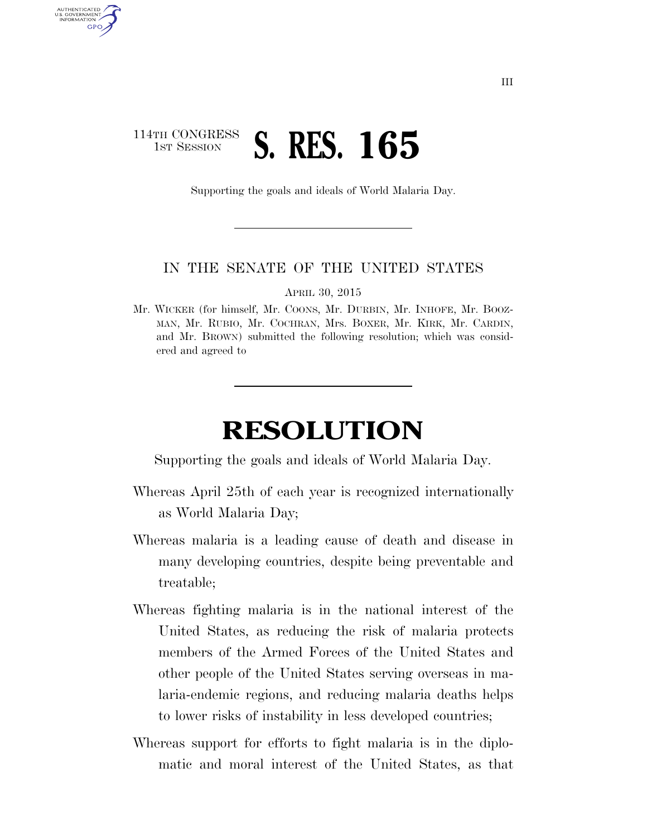## 114TH CONGRESS **1ST SESSION S. RES. 165**

AUTHENTICATED U.S. GOVERNMENT GPO

Supporting the goals and ideals of World Malaria Day.

## IN THE SENATE OF THE UNITED STATES

APRIL 30, 2015

Mr. WICKER (for himself, Mr. COONS, Mr. DURBIN, Mr. INHOFE, Mr. BOOZ-MAN, Mr. RUBIO, Mr. COCHRAN, Mrs. BOXER, Mr. KIRK, Mr. CARDIN, and Mr. BROWN) submitted the following resolution; which was considered and agreed to

## **RESOLUTION**

Supporting the goals and ideals of World Malaria Day.

- Whereas April 25th of each year is recognized internationally as World Malaria Day;
- Whereas malaria is a leading cause of death and disease in many developing countries, despite being preventable and treatable;
- Whereas fighting malaria is in the national interest of the United States, as reducing the risk of malaria protects members of the Armed Forces of the United States and other people of the United States serving overseas in malaria-endemic regions, and reducing malaria deaths helps to lower risks of instability in less developed countries;
- Whereas support for efforts to fight malaria is in the diplomatic and moral interest of the United States, as that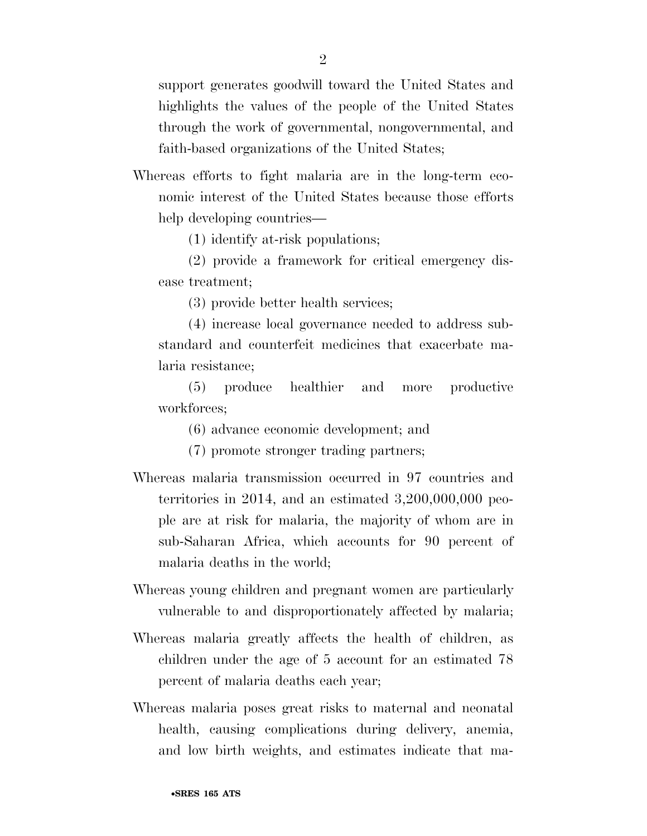support generates goodwill toward the United States and highlights the values of the people of the United States through the work of governmental, nongovernmental, and faith-based organizations of the United States;

Whereas efforts to fight malaria are in the long-term economic interest of the United States because those efforts help developing countries—

(1) identify at-risk populations;

(2) provide a framework for critical emergency disease treatment;

(3) provide better health services;

(4) increase local governance needed to address substandard and counterfeit medicines that exacerbate malaria resistance;

(5) produce healthier and more productive workforces;

(6) advance economic development; and

(7) promote stronger trading partners;

- Whereas malaria transmission occurred in 97 countries and territories in 2014, and an estimated 3,200,000,000 people are at risk for malaria, the majority of whom are in sub-Saharan Africa, which accounts for 90 percent of malaria deaths in the world;
- Whereas young children and pregnant women are particularly vulnerable to and disproportionately affected by malaria;
- Whereas malaria greatly affects the health of children, as children under the age of 5 account for an estimated 78 percent of malaria deaths each year;
- Whereas malaria poses great risks to maternal and neonatal health, causing complications during delivery, anemia, and low birth weights, and estimates indicate that ma-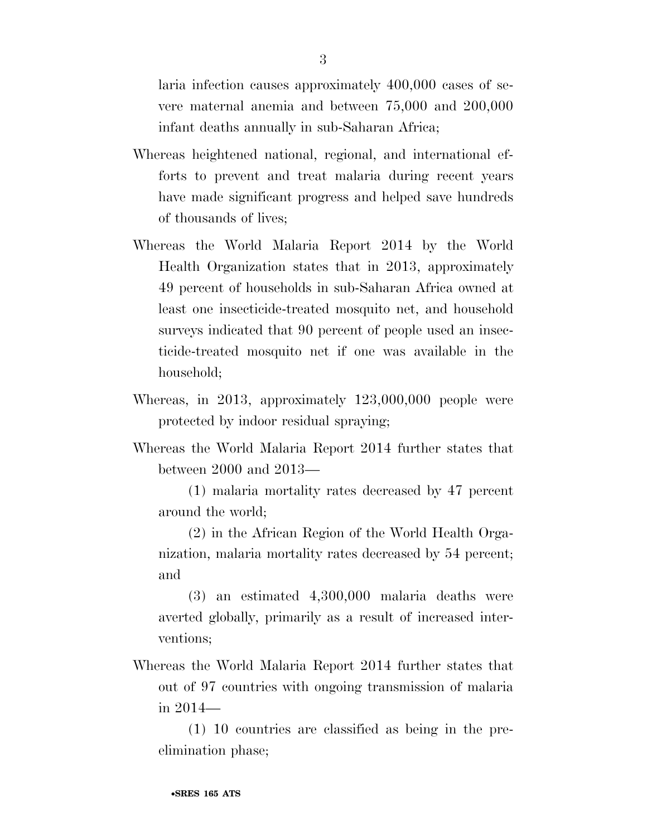laria infection causes approximately 400,000 cases of severe maternal anemia and between 75,000 and 200,000 infant deaths annually in sub-Saharan Africa;

- Whereas heightened national, regional, and international efforts to prevent and treat malaria during recent years have made significant progress and helped save hundreds of thousands of lives;
- Whereas the World Malaria Report 2014 by the World Health Organization states that in 2013, approximately 49 percent of households in sub-Saharan Africa owned at least one insecticide-treated mosquito net, and household surveys indicated that 90 percent of people used an insecticide-treated mosquito net if one was available in the household;
- Whereas, in 2013, approximately 123,000,000 people were protected by indoor residual spraying;
- Whereas the World Malaria Report 2014 further states that between 2000 and 2013—
	- (1) malaria mortality rates decreased by 47 percent around the world;
	- (2) in the African Region of the World Health Organization, malaria mortality rates decreased by 54 percent; and
	- (3) an estimated 4,300,000 malaria deaths were averted globally, primarily as a result of increased interventions;
- Whereas the World Malaria Report 2014 further states that out of 97 countries with ongoing transmission of malaria in 2014—

(1) 10 countries are classified as being in the preelimination phase;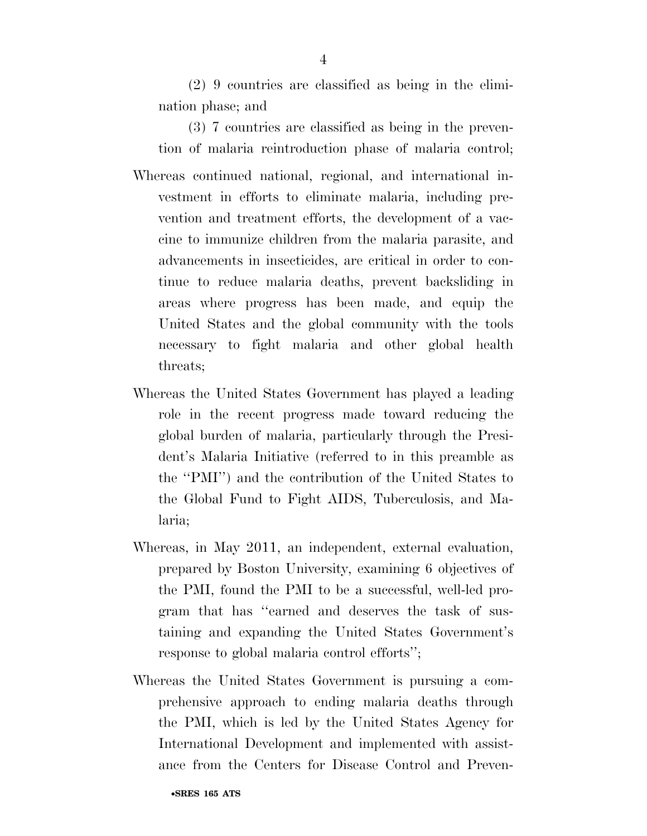(2) 9 countries are classified as being in the elimination phase; and

(3) 7 countries are classified as being in the prevention of malaria reintroduction phase of malaria control;

- Whereas continued national, regional, and international investment in efforts to eliminate malaria, including prevention and treatment efforts, the development of a vaccine to immunize children from the malaria parasite, and advancements in insecticides, are critical in order to continue to reduce malaria deaths, prevent backsliding in areas where progress has been made, and equip the United States and the global community with the tools necessary to fight malaria and other global health threats;
- Whereas the United States Government has played a leading role in the recent progress made toward reducing the global burden of malaria, particularly through the President's Malaria Initiative (referred to in this preamble as the ''PMI'') and the contribution of the United States to the Global Fund to Fight AIDS, Tuberculosis, and Malaria;
- Whereas, in May 2011, an independent, external evaluation, prepared by Boston University, examining 6 objectives of the PMI, found the PMI to be a successful, well-led program that has ''earned and deserves the task of sustaining and expanding the United States Government's response to global malaria control efforts'';
- Whereas the United States Government is pursuing a comprehensive approach to ending malaria deaths through the PMI, which is led by the United States Agency for International Development and implemented with assistance from the Centers for Disease Control and Preven-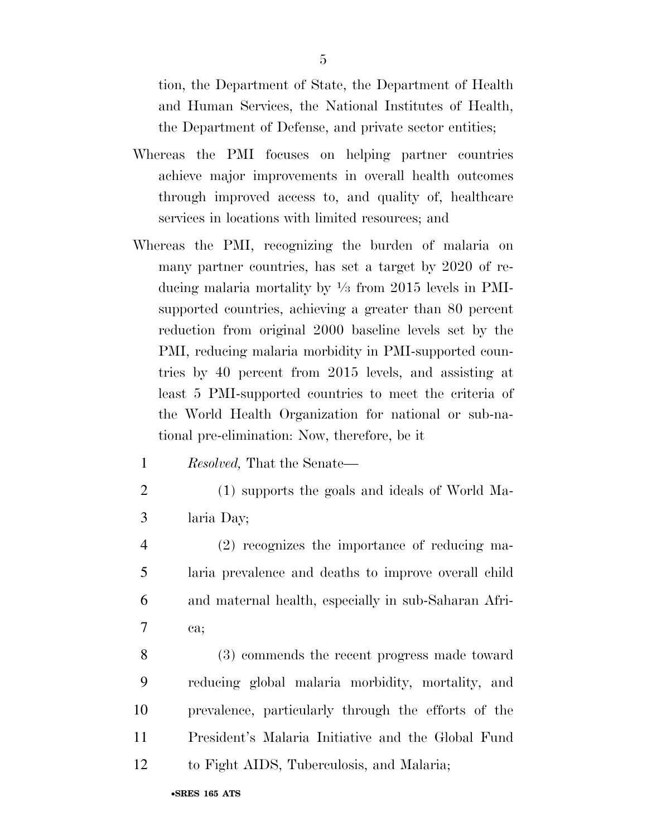tion, the Department of State, the Department of Health and Human Services, the National Institutes of Health, the Department of Defense, and private sector entities;

- Whereas the PMI focuses on helping partner countries achieve major improvements in overall health outcomes through improved access to, and quality of, healthcare services in locations with limited resources; and
- Whereas the PMI, recognizing the burden of malaria on many partner countries, has set a target by 2020 of reducing malaria mortality by 1⁄3 from 2015 levels in PMIsupported countries, achieving a greater than 80 percent reduction from original 2000 baseline levels set by the PMI, reducing malaria morbidity in PMI-supported countries by 40 percent from 2015 levels, and assisting at least 5 PMI-supported countries to meet the criteria of the World Health Organization for national or sub-national pre-elimination: Now, therefore, be it
	- 1 *Resolved,* That the Senate—
- 

- 2 (1) supports the goals and ideals of World Ma-3 laria Day;
- 4 (2) recognizes the importance of reducing ma-5 laria prevalence and deaths to improve overall child 6 and maternal health, especially in sub-Saharan Afri-7 ca;
- 8 (3) commends the recent progress made toward 9 reducing global malaria morbidity, mortality, and 10 prevalence, particularly through the efforts of the 11 President's Malaria Initiative and the Global Fund 12 to Fight AIDS, Tuberculosis, and Malaria;